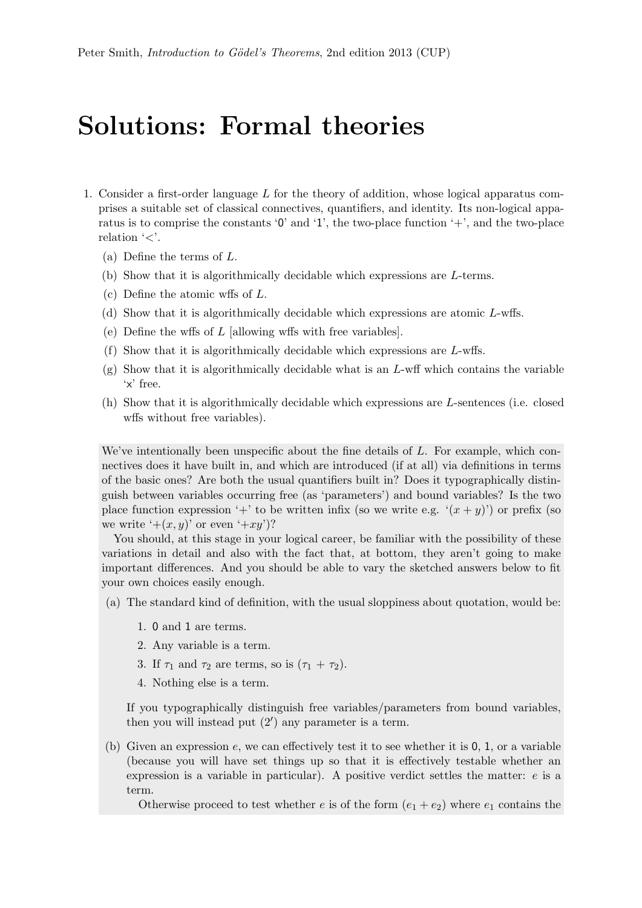## Solutions: Formal theories

- 1. Consider a first-order language  $L$  for the theory of addition, whose logical apparatus comprises a suitable set of classical connectives, quantifiers, and identity. Its non-logical apparatus is to comprise the constants  $\mathcal{O}'$  and  $\mathcal{I}'$ , the two-place function  $\mathcal{I}'$ , and the two-place relation  $\leq$ .
	- (a) Define the terms of L.
	- (b) Show that it is algorithmically decidable which expressions are L-terms.
	- (c) Define the atomic wffs of L.
	- (d) Show that it is algorithmically decidable which expressions are atomic L-wffs.
	- (e) Define the wffs of  $L$  [allowing wffs with free variables].
	- (f) Show that it is algorithmically decidable which expressions are L-wffs.
	- $(g)$  Show that it is algorithmically decidable what is an L-wff which contains the variable 'x' free.
	- (h) Show that it is algorithmically decidable which expressions are L-sentences (i.e. closed wffs without free variables).

We've intentionally been unspecific about the fine details of  $L$ . For example, which connectives does it have built in, and which are introduced (if at all) via definitions in terms of the basic ones? Are both the usual quantifiers built in? Does it typographically distinguish between variables occurring free (as 'parameters') and bound variables? Is the two place function expression '+' to be written infix (so we write e.g.  $(x + y)$ ) or prefix (so we write  $'+(x, y)'$  or even  $'+xy'$ ?

You should, at this stage in your logical career, be familiar with the possibility of these variations in detail and also with the fact that, at bottom, they aren't going to make important differences. And you should be able to vary the sketched answers below to fit your own choices easily enough.

- (a) The standard kind of definition, with the usual sloppiness about quotation, would be:
	- 1. 0 and 1 are terms.
	- 2. Any variable is a term.
	- 3. If  $\tau_1$  and  $\tau_2$  are terms, so is  $(\tau_1 + \tau_2)$ .
	- 4. Nothing else is a term.

If you typographically distinguish free variables/parameters from bound variables, then you will instead put  $(2')$  any parameter is a term.

(b) Given an expression  $e$ , we can effectively test it to see whether it is  $0, 1$ , or a variable (because you will have set things up so that it is effectively testable whether an expression is a variable in particular). A positive verdict settles the matter: e is a term.

Otherwise proceed to test whether e is of the form  $(e_1 + e_2)$  where  $e_1$  contains the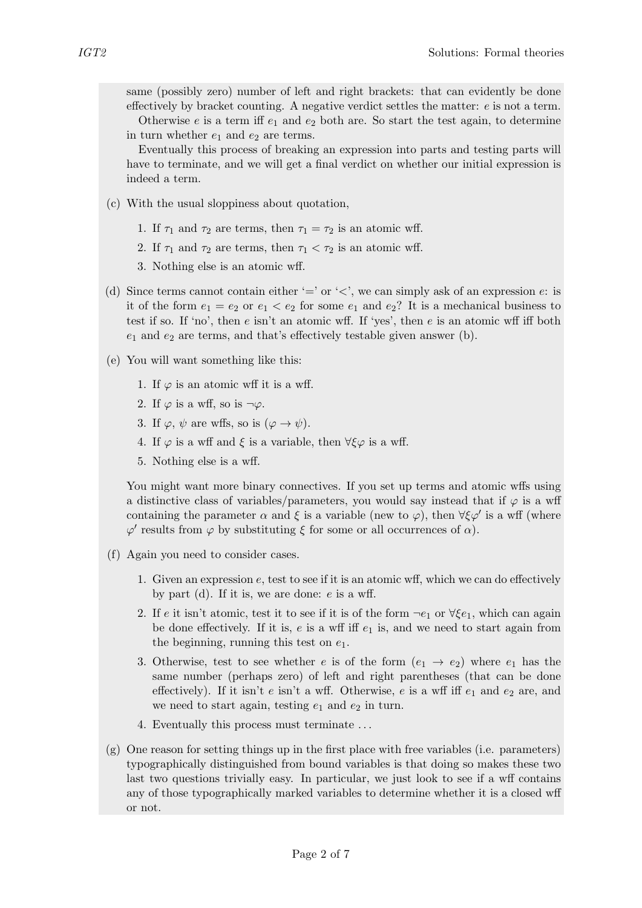same (possibly zero) number of left and right brackets: that can evidently be done effectively by bracket counting. A negative verdict settles the matter:  $e$  is not a term.

Otherwise e is a term iff  $e_1$  and  $e_2$  both are. So start the test again, to determine in turn whether  $e_1$  and  $e_2$  are terms.

Eventually this process of breaking an expression into parts and testing parts will have to terminate, and we will get a final verdict on whether our initial expression is indeed a term.

- (c) With the usual sloppiness about quotation,
	- 1. If  $\tau_1$  and  $\tau_2$  are terms, then  $\tau_1 = \tau_2$  is an atomic wff.
	- 2. If  $\tau_1$  and  $\tau_2$  are terms, then  $\tau_1 < \tau_2$  is an atomic wff.
	- 3. Nothing else is an atomic wff.
- (d) Since terms cannot contain either  $=$ ' or ' $\lt$ ', we can simply ask of an expression  $e$ : is it of the form  $e_1 = e_2$  or  $e_1 < e_2$  for some  $e_1$  and  $e_2$ ? It is a mechanical business to test if so. If 'no', then  $e$  isn't an atomic wff. If 'yes', then  $e$  is an atomic wff iff both  $e_1$  and  $e_2$  are terms, and that's effectively testable given answer (b).
- (e) You will want something like this:
	- 1. If  $\varphi$  is an atomic wff it is a wff.
	- 2. If  $\varphi$  is a wff, so is  $\neg \varphi$ .
	- 3. If  $\varphi, \psi$  are wffs, so is  $(\varphi \to \psi)$ .
	- 4. If  $\varphi$  is a wff and  $\xi$  is a variable, then  $\forall \xi \varphi$  is a wff.
	- 5. Nothing else is a wff.

You might want more binary connectives. If you set up terms and atomic wffs using a distinctive class of variables/parameters, you would say instead that if  $\varphi$  is a wff containing the parameter  $\alpha$  and  $\xi$  is a variable (new to  $\varphi$ ), then  $\forall \xi \varphi'$  is a wff (where  $\varphi'$  results from  $\varphi$  by substituting  $\xi$  for some or all occurrences of  $\alpha$ ).

- (f) Again you need to consider cases.
	- 1. Given an expression  $e$ , test to see if it is an atomic wff, which we can do effectively by part (d). If it is, we are done:  $e$  is a wff.
	- 2. If e it isn't atomic, test it to see if it is of the form  $\neg e_1$  or  $\forall \xi e_1$ , which can again be done effectively. If it is,  $e$  is a wff iff  $e_1$  is, and we need to start again from the beginning, running this test on  $e_1$ .
	- 3. Otherwise, test to see whether e is of the form  $(e_1 \rightarrow e_2)$  where  $e_1$  has the same number (perhaps zero) of left and right parentheses (that can be done effectively). If it isn't e isn't a wff. Otherwise, e is a wff iff  $e_1$  and  $e_2$  are, and we need to start again, testing  $e_1$  and  $e_2$  in turn.
	- 4. Eventually this process must terminate . . .
- (g) One reason for setting things up in the first place with free variables (i.e. parameters) typographically distinguished from bound variables is that doing so makes these two last two questions trivially easy. In particular, we just look to see if a wff contains any of those typographically marked variables to determine whether it is a closed wff or not.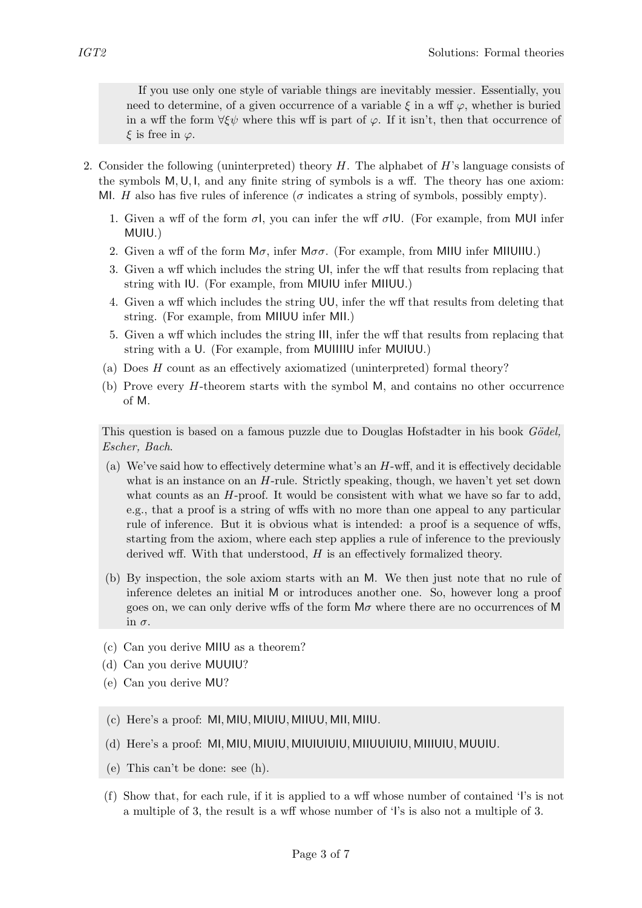If you use only one style of variable things are inevitably messier. Essentially, you need to determine, of a given occurrence of a variable  $\xi$  in a wff  $\varphi$ , whether is buried in a wff the form  $\forall \xi \psi$  where this wff is part of  $\varphi$ . If it isn't, then that occurrence of  $\xi$  is free in  $\varphi$ .

- 2. Consider the following (uninterpreted) theory  $H$ . The alphabet of  $H$ 's language consists of the symbols  $M, U, I$ , and any finite string of symbols is a wff. The theory has one axiom: MI. H also has five rules of inference ( $\sigma$  indicates a string of symbols, possibly empty).
	- 1. Given a wff of the form  $\sigma l$ , you can infer the wff  $\sigma lU$ . (For example, from MUI infer MUIU.)
	- 2. Given a wff of the form  $M\sigma$ , infer  $M\sigma$ . (For example, from MIIU infer MIIUIIU.)
	- 3. Given a wff which includes the string UI, infer the wff that results from replacing that string with IU. (For example, from MIUIU infer MIIUU.)
	- 4. Given a wff which includes the string UU, infer the wff that results from deleting that string. (For example, from MIIUU infer MII.)
	- 5. Given a wff which includes the string III, infer the wff that results from replacing that string with a U. (For example, from MUIIIIU infer MUIUU.)
	- (a) Does H count as an effectively axiomatized (uninterpreted) formal theory?
	- (b) Prove every H-theorem starts with the symbol M, and contains no other occurrence of M.

This question is based on a famous puzzle due to Douglas Hofstadter in his book Gödel, Escher, Bach.

- (a) We've said how to effectively determine what's an H-wff, and it is effectively decidable what is an instance on an  $H$ -rule. Strictly speaking, though, we haven't yet set down what counts as an  $H$ -proof. It would be consistent with what we have so far to add, e.g., that a proof is a string of wffs with no more than one appeal to any particular rule of inference. But it is obvious what is intended: a proof is a sequence of wffs, starting from the axiom, where each step applies a rule of inference to the previously derived wff. With that understood,  $H$  is an effectively formalized theory.
- (b) By inspection, the sole axiom starts with an M. We then just note that no rule of inference deletes an initial M or introduces another one. So, however long a proof goes on, we can only derive wffs of the form  $M\sigma$  where there are no occurrences of M in σ.
- (c) Can you derive MIIU as a theorem?
- (d) Can you derive MUUIU?
- (e) Can you derive MU?
- (c) Here's a proof: MI, MIU, MIUIU, MIIUU, MII, MIIU.
- (d) Here's a proof: MI, MIU, MIUIU, MIUIUIUIU, MIIUUIUIU, MIIIUIU, MUUIU.
- (e) This can't be done: see (h).
- (f) Show that, for each rule, if it is applied to a wff whose number of contained 'I's is not a multiple of 3, the result is a wff whose number of 'I's is also not a multiple of 3.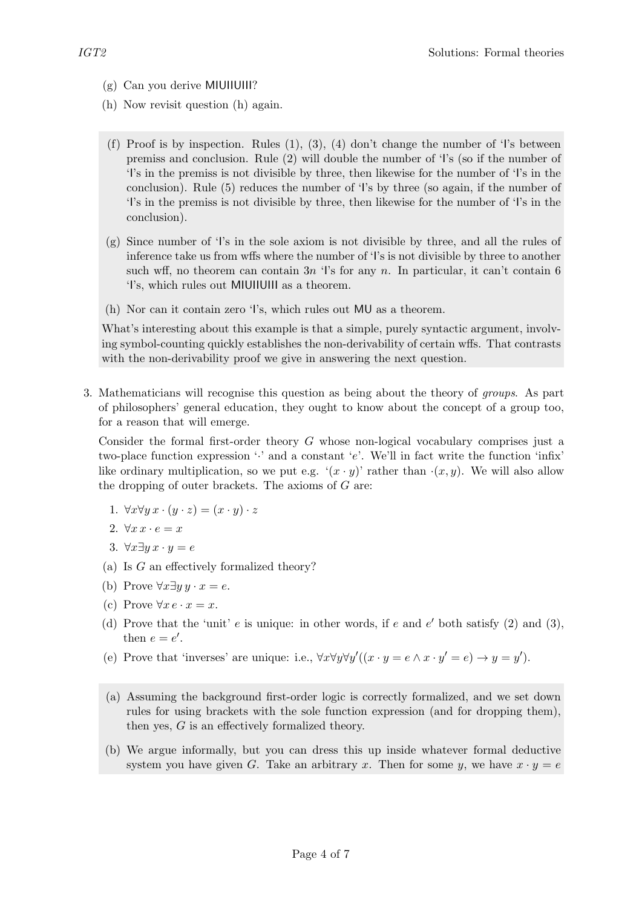- (g) Can you derive MIUIIUIII?
- (h) Now revisit question (h) again.
- (f) Proof is by inspection. Rules  $(1)$ ,  $(3)$ ,  $(4)$  don't change the number of 'I's between premiss and conclusion. Rule (2) will double the number of 'I's (so if the number of 'I's in the premiss is not divisible by three, then likewise for the number of 'I's in the conclusion). Rule (5) reduces the number of 'I's by three (so again, if the number of 'I's in the premiss is not divisible by three, then likewise for the number of 'I's in the conclusion).
- (g) Since number of 'I's in the sole axiom is not divisible by three, and all the rules of inference take us from wffs where the number of 'I's is not divisible by three to another such wff, no theorem can contain  $3n$  'l's for any n. In particular, it can't contain 6 'I's, which rules out MIUIIUIII as a theorem.
- (h) Nor can it contain zero 'I's, which rules out MU as a theorem.

What's interesting about this example is that a simple, purely syntactic argument, involving symbol-counting quickly establishes the non-derivability of certain wffs. That contrasts with the non-derivability proof we give in answering the next question.

3. Mathematicians will recognise this question as being about the theory of groups. As part of philosophers' general education, they ought to know about the concept of a group too, for a reason that will emerge.

Consider the formal first-order theory  $G$  whose non-logical vocabulary comprises just a two-place function expression  $\cdot$  and a constant  $\cdot$  e. We'll in fact write the function  $\cdot$ infix' like ordinary multiplication, so we put e.g.  $'(x \cdot y)'$  rather than  $(x, y)$ . We will also allow the dropping of outer brackets. The axioms of  $G$  are:

- 1.  $\forall x \forall y \ x \cdot (y \cdot z) = (x \cdot y) \cdot z$
- 2.  $\forall x \, x \cdot e = x$
- 3.  $\forall x \exists y \ x \cdot y = e$
- (a) Is G an effectively formalized theory?
- (b) Prove  $\forall x \exists y \, y \cdot x = e$ .
- (c) Prove  $\forall x \, e \cdot x = x$ .
- (d) Prove that the 'unit'  $e$  is unique: in other words, if  $e$  and  $e'$  both satisfy (2) and (3), then  $e = e'$ .
- (e) Prove that 'inverses' are unique: i.e.,  $\forall x \forall y \forall y'((x \cdot y = e \land x \cdot y' = e) \rightarrow y = y')$ .
- (a) Assuming the background first-order logic is correctly formalized, and we set down rules for using brackets with the sole function expression (and for dropping them), then yes, G is an effectively formalized theory.
- (b) We argue informally, but you can dress this up inside whatever formal deductive system you have given G. Take an arbitrary x. Then for some y, we have  $x \cdot y = e$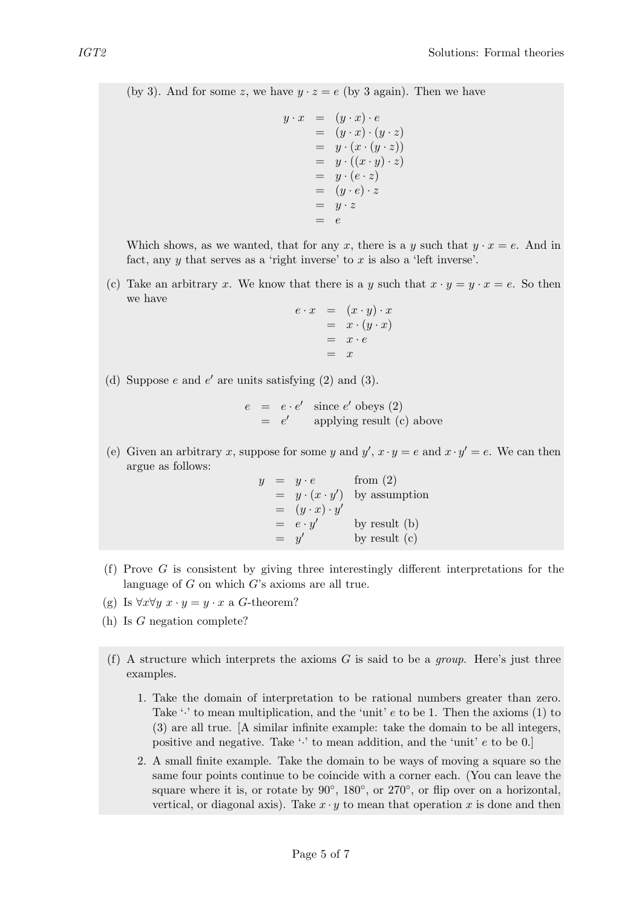(by 3). And for some z, we have  $y \cdot z = e$  (by 3 again). Then we have

$$
y \cdot x = (y \cdot x) \cdot e
$$
  
=  $(y \cdot x) \cdot (y \cdot z)$   
=  $y \cdot (x \cdot (y \cdot z))$   
=  $y \cdot ((x \cdot y) \cdot z)$   
=  $y \cdot (e \cdot z)$   
=  $(y \cdot e) \cdot z$   
=  $y \cdot z$   
=  $e$ 

Which shows, as we wanted, that for any x, there is a y such that  $y \cdot x = e$ . And in fact, any  $y$  that serves as a 'right inverse' to  $x$  is also a 'left inverse'.

(c) Take an arbitrary x. We know that there is a y such that  $x \cdot y = y \cdot x = e$ . So then we have

$$
e \cdot x = (x \cdot y) \cdot x
$$
  
=  $x \cdot (y \cdot x)$   
=  $x \cdot e$   
= x

(d) Suppose  $e$  and  $e'$  are units satisfying  $(2)$  and  $(3)$ .

 $e = e \cdot e' \text{ since } e' \text{ obeys (2)}$  $= e'$  applying result (c) above

(e) Given an arbitrary x, suppose for some y and  $y'$ ,  $x \cdot y = e$  and  $x \cdot y' = e$ . We can then argue as follows:

> $y = y \cdot e$  from (2)  $= y \cdot (x \cdot y')$  by assumption  $= (y \cdot x) \cdot y'$  $= e \cdot y'$  by result (b)  $=$ by result  $(c)$

- (f) Prove G is consistent by giving three interestingly different interpretations for the language of  $G$  on which  $G$ 's axioms are all true.
- (g) Is  $\forall x \forall y \ x \cdot y = y \cdot x$  a G-theorem?
- (h) Is G negation complete?
- (f) A structure which interprets the axioms  $G$  is said to be a *group*. Here's just three examples.
	- 1. Take the domain of interpretation to be rational numbers greater than zero. Take  $\cdot \cdot$  to mean multiplication, and the 'unit' e to be 1. Then the axioms (1) to (3) are all true. [A similar infinite example: take the domain to be all integers, positive and negative. Take  $\cdot$  to mean addition, and the 'unit' e to be 0.]
	- 2. A small finite example. Take the domain to be ways of moving a square so the same four points continue to be coincide with a corner each. (You can leave the square where it is, or rotate by  $90^\circ$ ,  $180^\circ$ , or  $270^\circ$ , or flip over on a horizontal, vertical, or diagonal axis). Take  $x \cdot y$  to mean that operation x is done and then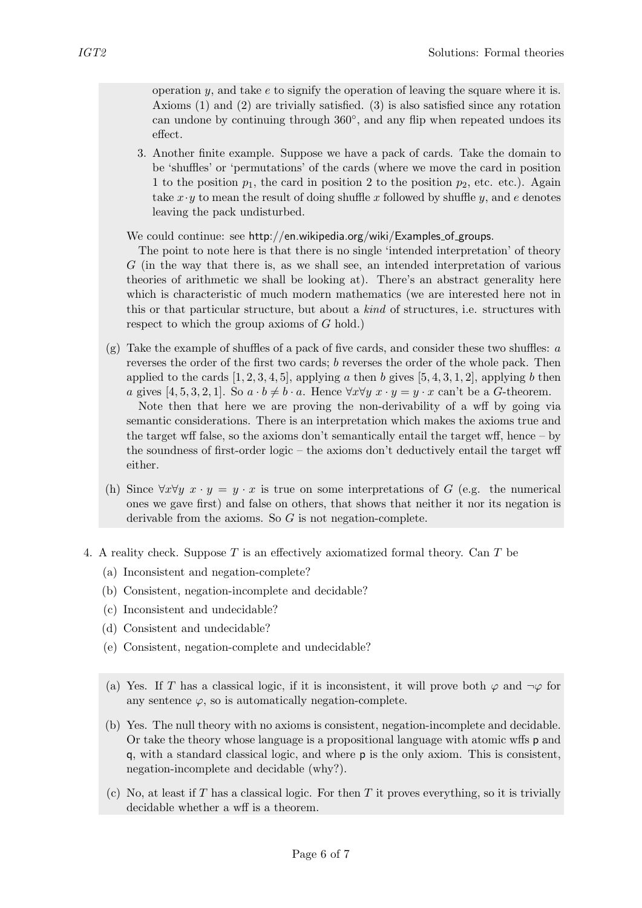operation  $y$ , and take  $e$  to signify the operation of leaving the square where it is. Axioms (1) and (2) are trivially satisfied. (3) is also satisfied since any rotation can undone by continuing through 360◦ , and any flip when repeated undoes its effect.

3. Another finite example. Suppose we have a pack of cards. Take the domain to be 'shuffles' or 'permutations' of the cards (where we move the card in position 1 to the position  $p_1$ , the card in position 2 to the position  $p_2$ , etc. etc.). Again take  $x \cdot y$  to mean the result of doing shuffle x followed by shuffle y, and e denotes leaving the pack undisturbed.

We could continue: see http://en.wikipedia.org/wiki/Examples of groups.

The point to note here is that there is no single 'intended interpretation' of theory G (in the way that there is, as we shall see, an intended interpretation of various theories of arithmetic we shall be looking at). There's an abstract generality here which is characteristic of much modern mathematics (we are interested here not in this or that particular structure, but about a kind of structures, i.e. structures with respect to which the group axioms of  $G$  hold.)

 $(g)$  Take the example of shuffles of a pack of five cards, and consider these two shuffles: a reverses the order of the first two cards; b reverses the order of the whole pack. Then applied to the cards  $[1, 2, 3, 4, 5]$ , applying a then b gives  $[5, 4, 3, 1, 2]$ , applying b then a gives [4, 5, 3, 2, 1]. So  $a \cdot b \neq b \cdot a$ . Hence  $\forall x \forall y \ x \cdot y = y \cdot x$  can't be a G-theorem.

Note then that here we are proving the non-derivability of a wff by going via semantic considerations. There is an interpretation which makes the axioms true and the target wff false, so the axioms don't semantically entail the target wff, hence – by the soundness of first-order logic – the axioms don't deductively entail the target wff either.

- (h) Since  $\forall x \forall y \ x \cdot y = y \cdot x$  is true on some interpretations of G (e.g. the numerical ones we gave first) and false on others, that shows that neither it nor its negation is derivable from the axioms. So G is not negation-complete.
- 4. A reality check. Suppose T is an effectively axiomatized formal theory. Can T be
	- (a) Inconsistent and negation-complete?
	- (b) Consistent, negation-incomplete and decidable?
	- (c) Inconsistent and undecidable?
	- (d) Consistent and undecidable?
	- (e) Consistent, negation-complete and undecidable?
	- (a) Yes. If T has a classical logic, if it is inconsistent, it will prove both  $\varphi$  and  $\neg \varphi$  for any sentence  $\varphi$ , so is automatically negation-complete.
	- (b) Yes. The null theory with no axioms is consistent, negation-incomplete and decidable. Or take the theory whose language is a propositional language with atomic wffs p and q, with a standard classical logic, and where p is the only axiom. This is consistent, negation-incomplete and decidable (why?).
	- (c) No, at least if  $T$  has a classical logic. For then  $T$  it proves everything, so it is trivially decidable whether a wff is a theorem.